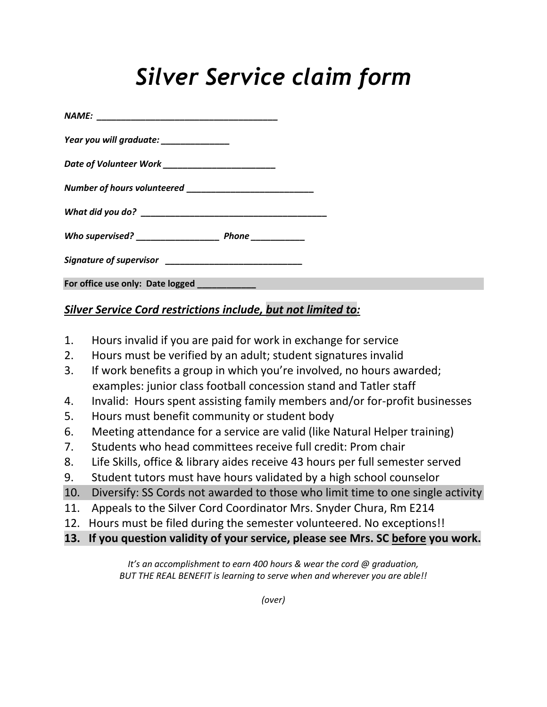## *Silver Service claim form*

| Year you will graduate: ______________             |  |  |
|----------------------------------------------------|--|--|
| Date of Volunteer Work ___________________________ |  |  |
|                                                    |  |  |
|                                                    |  |  |
|                                                    |  |  |
|                                                    |  |  |
| For office use only: Date logged ___________       |  |  |

## *Silver Service Cord restrictions include, but not limited to:*

- 1. Hours invalid if you are paid for work in exchange for service
- 2. Hours must be verified by an adult; student signatures invalid
- 3. If work benefits a group in which you're involved, no hours awarded; examples: junior class football concession stand and Tatler staff
- 4. Invalid: Hours spent assisting family members and/or for-profit businesses
- 5. Hours must benefit community or student body
- 6. Meeting attendance for a service are valid (like Natural Helper training)
- 7. Students who head committees receive full credit: Prom chair
- 8. Life Skills, office & library aides receive 43 hours per full semester served
- 9. Student tutors must have hours validated by a high school counselor
- 10. Diversify: SS Cords not awarded to those who limit time to one single activity
- 11. Appeals to the Silver Cord Coordinator Mrs. Snyder Chura, Rm E214
- 12. Hours must be filed during the semester volunteered. No exceptions!!
- **13. If you question validity of your service, please see Mrs. SC before you work.**

*It's an accomplishment to earn 400 hours & wear the cord @ graduation, BUT THE REAL BENEFIT is learning to serve when and wherever you are able!!*

*(over)*